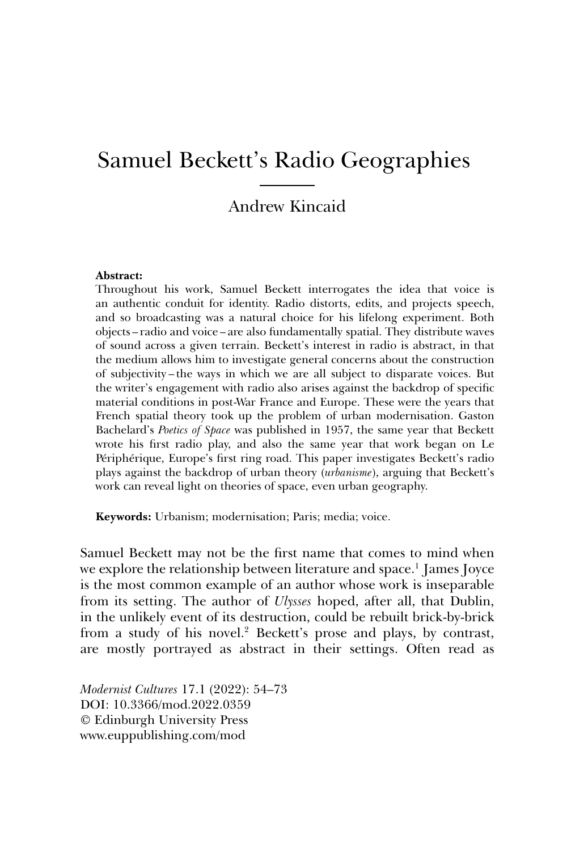# Samuel Beckett's Radio Geographies

## Andrew Kincaid

#### **Abstract:**

Throughout his work, Samuel Beckett interrogates the idea that voice is an authentic conduit for identity. Radio distorts, edits, and projects speech, and so broadcasting was a natural choice for his lifelong experiment. Both objects – radio and voice – are also fundamentally spatial. They distribute waves of sound across a given terrain. Beckett's interest in radio is abstract, in that the medium allows him to investigate general concerns about the construction of subjectivity – the ways in which we are all subject to disparate voices. But the writer's engagement with radio also arises against the backdrop of specific material conditions in post-War France and Europe. These were the years that French spatial theory took up the problem of urban modernisation. Gaston Bachelard's *Poetics of Space* was published in 1957, the same year that Beckett wrote his first radio play, and also the same year that work began on Le Périphérique, Europe's first ring road. This paper investigates Beckett's radio plays against the backdrop of urban theory (*urbanisme*), arguing that Beckett's work can reveal light on theories of space, even urban geography.

**Keywords:** Urbanism; modernisation; Paris; media; voice.

Samuel Beckett may not be the first name that comes to mind when we explore the relationship between literature and space.<sup>1</sup> James Joyce is the most common example of an author whose work is inseparable from its setting. The author of *Ulysses* hoped, after all, that Dublin, in the unlikely event of its destruction, could be rebuilt brick-by-brick from a study of his novel.<sup>2</sup> Beckett's prose and plays, by contrast, are mostly portrayed as abstract in their settings. Often read as

*Modernist Cultures* 17.1 (2022): 54–73 DOI: 10.3366/mod.2022.0359 © Edinburgh University Press www.euppublishing.com/mod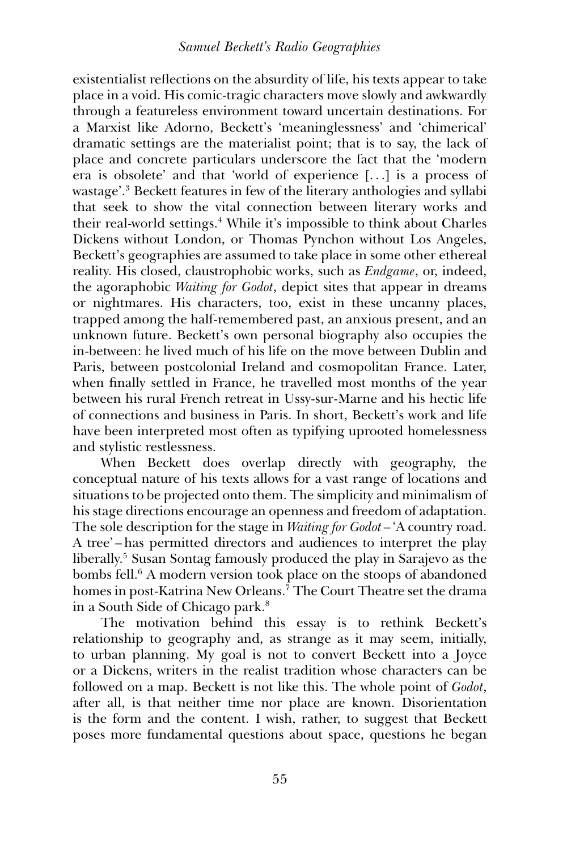## *Samuel Beckett's Radio Geographies*

existentialist reflections on the absurdity of life, his texts appear to take place in a void. His comic-tragic characters move slowly and awkwardly through a featureless environment toward uncertain destinations. For a Marxist like Adorno, Beckett's 'meaninglessness' and 'chimerical' dramatic settings are the materialist point; that is to say, the lack of place and concrete particulars underscore the fact that the 'modern era is obsolete' and that 'world of experience [. . .] is a process of wastage'.3 Beckett features in few of the literary anthologies and syllabi that seek to show the vital connection between literary works and their real-world settings.<sup>4</sup> While it's impossible to think about Charles Dickens without London, or Thomas Pynchon without Los Angeles, Beckett's geographies are assumed to take place in some other ethereal reality. His closed, claustrophobic works, such as *Endgame*, or, indeed, the agoraphobic *Waiting for Godot*, depict sites that appear in dreams or nightmares. His characters, too, exist in these uncanny places, trapped among the half-remembered past, an anxious present, and an unknown future. Beckett's own personal biography also occupies the in-between: he lived much of his life on the move between Dublin and Paris, between postcolonial Ireland and cosmopolitan France. Later, when finally settled in France, he travelled most months of the year between his rural French retreat in Ussy-sur-Marne and his hectic life of connections and business in Paris. In short, Beckett's work and life have been interpreted most often as typifying uprooted homelessness and stylistic restlessness.

When Beckett does overlap directly with geography, the conceptual nature of his texts allows for a vast range of locations and situations to be projected onto them. The simplicity and minimalism of his stage directions encourage an openness and freedom of adaptation. The sole description for the stage in *Waiting for Godot* – 'A country road. A tree' – has permitted directors and audiences to interpret the play liberally.5 Susan Sontag famously produced the play in Sarajevo as the bombs fell.<sup>6</sup> A modern version took place on the stoops of abandoned homes in post-Katrina New Orleans.<sup>7</sup> The Court Theatre set the drama in a South Side of Chicago park.8

The motivation behind this essay is to rethink Beckett's relationship to geography and, as strange as it may seem, initially, to urban planning. My goal is not to convert Beckett into a Joyce or a Dickens, writers in the realist tradition whose characters can be followed on a map. Beckett is not like this. The whole point of *Godot*, after all, is that neither time nor place are known. Disorientation is the form and the content. I wish, rather, to suggest that Beckett poses more fundamental questions about space, questions he began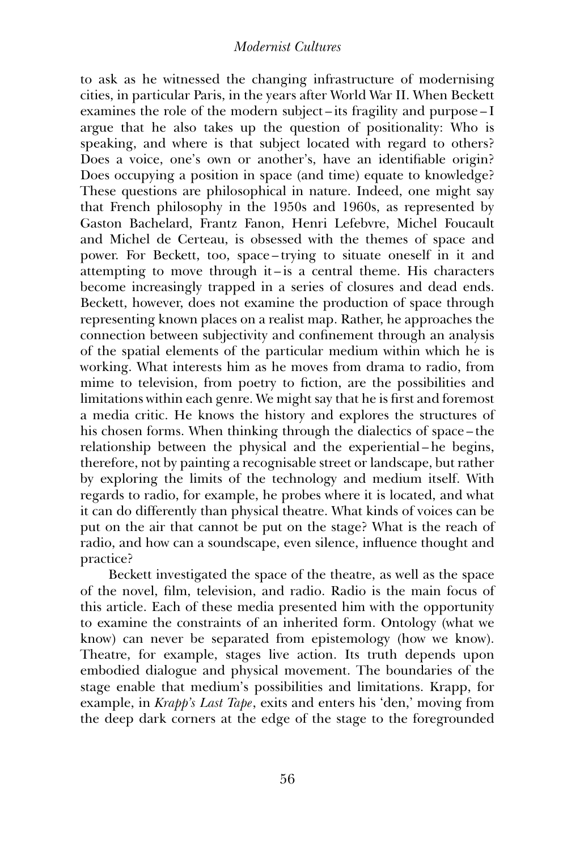to ask as he witnessed the changing infrastructure of modernising cities, in particular Paris, in the years after World War II. When Beckett examines the role of the modern subject – its fragility and purpose – I argue that he also takes up the question of positionality: Who is speaking, and where is that subject located with regard to others? Does a voice, one's own or another's, have an identifiable origin? Does occupying a position in space (and time) equate to knowledge? These questions are philosophical in nature. Indeed, one might say that French philosophy in the 1950s and 1960s, as represented by Gaston Bachelard, Frantz Fanon, Henri Lefebvre, Michel Foucault and Michel de Certeau, is obsessed with the themes of space and power. For Beckett, too, space – trying to situate oneself in it and attempting to move through it – is a central theme. His characters become increasingly trapped in a series of closures and dead ends. Beckett, however, does not examine the production of space through representing known places on a realist map. Rather, he approaches the connection between subjectivity and confinement through an analysis of the spatial elements of the particular medium within which he is working. What interests him as he moves from drama to radio, from mime to television, from poetry to fiction, are the possibilities and limitations within each genre. We might say that he is first and foremost a media critic. He knows the history and explores the structures of his chosen forms. When thinking through the dialectics of space – the relationship between the physical and the experiential – he begins, therefore, not by painting a recognisable street or landscape, but rather by exploring the limits of the technology and medium itself. With regards to radio, for example, he probes where it is located, and what it can do differently than physical theatre. What kinds of voices can be put on the air that cannot be put on the stage? What is the reach of radio, and how can a soundscape, even silence, influence thought and practice?

Beckett investigated the space of the theatre, as well as the space of the novel, film, television, and radio. Radio is the main focus of this article. Each of these media presented him with the opportunity to examine the constraints of an inherited form. Ontology (what we know) can never be separated from epistemology (how we know). Theatre, for example, stages live action. Its truth depends upon embodied dialogue and physical movement. The boundaries of the stage enable that medium's possibilities and limitations. Krapp, for example, in *Krapp's Last Tape*, exits and enters his 'den,' moving from the deep dark corners at the edge of the stage to the foregrounded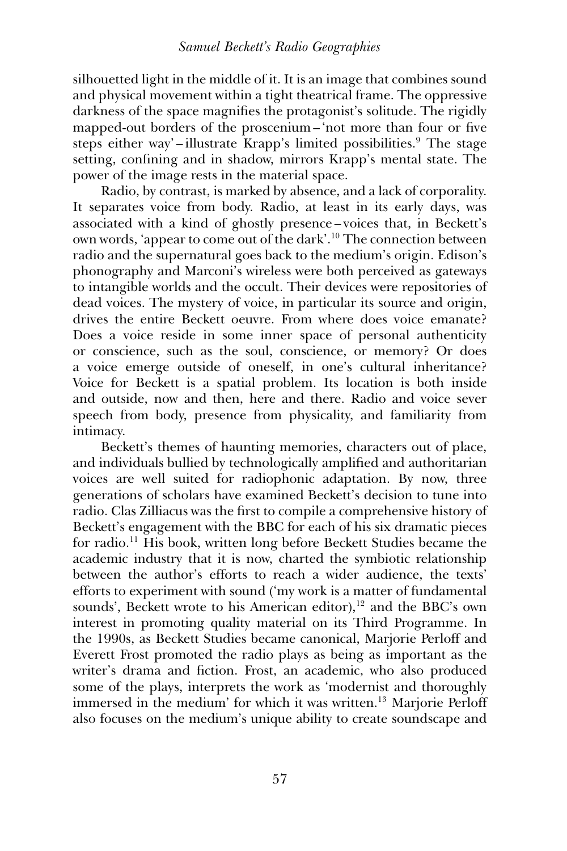silhouetted light in the middle of it. It is an image that combines sound and physical movement within a tight theatrical frame. The oppressive darkness of the space magnifies the protagonist's solitude. The rigidly mapped-out borders of the proscenium – 'not more than four or five steps either way'-illustrate Krapp's limited possibilities.<sup>9</sup> The stage setting, confining and in shadow, mirrors Krapp's mental state. The power of the image rests in the material space.

Radio, by contrast, is marked by absence, and a lack of corporality. It separates voice from body. Radio, at least in its early days, was associated with a kind of ghostly presence – voices that, in Beckett's own words, 'appear to come out of the dark'.10 The connection between radio and the supernatural goes back to the medium's origin. Edison's phonography and Marconi's wireless were both perceived as gateways to intangible worlds and the occult. Their devices were repositories of dead voices. The mystery of voice, in particular its source and origin, drives the entire Beckett oeuvre. From where does voice emanate? Does a voice reside in some inner space of personal authenticity or conscience, such as the soul, conscience, or memory? Or does a voice emerge outside of oneself, in one's cultural inheritance? Voice for Beckett is a spatial problem. Its location is both inside and outside, now and then, here and there. Radio and voice sever speech from body, presence from physicality, and familiarity from intimacy.

Beckett's themes of haunting memories, characters out of place, and individuals bullied by technologically amplified and authoritarian voices are well suited for radiophonic adaptation. By now, three generations of scholars have examined Beckett's decision to tune into radio. Clas Zilliacus was the first to compile a comprehensive history of Beckett's engagement with the BBC for each of his six dramatic pieces for radio.11 His book, written long before Beckett Studies became the academic industry that it is now, charted the symbiotic relationship between the author's efforts to reach a wider audience, the texts' efforts to experiment with sound ('my work is a matter of fundamental sounds', Beckett wrote to his American editor),<sup>12</sup> and the BBC's own interest in promoting quality material on its Third Programme. In the 1990s, as Beckett Studies became canonical, Marjorie Perloff and Everett Frost promoted the radio plays as being as important as the writer's drama and fiction. Frost, an academic, who also produced some of the plays, interprets the work as 'modernist and thoroughly immersed in the medium' for which it was written.<sup>13</sup> Marjorie Perloff also focuses on the medium's unique ability to create soundscape and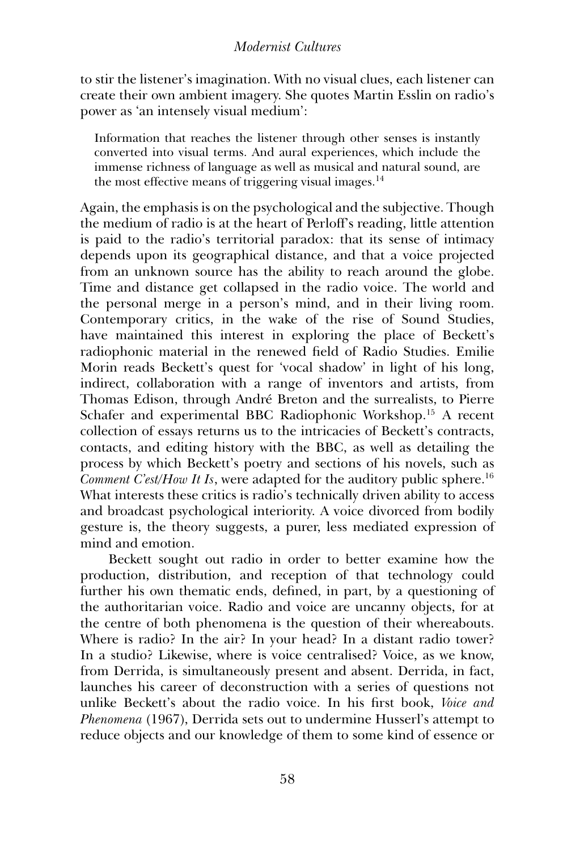to stir the listener's imagination. With no visual clues, each listener can create their own ambient imagery. She quotes Martin Esslin on radio's power as 'an intensely visual medium':

Information that reaches the listener through other senses is instantly converted into visual terms. And aural experiences, which include the immense richness of language as well as musical and natural sound, are the most effective means of triggering visual images. $14$ 

Again, the emphasis is on the psychological and the subjective. Though the medium of radio is at the heart of Perloff's reading, little attention is paid to the radio's territorial paradox: that its sense of intimacy depends upon its geographical distance, and that a voice projected from an unknown source has the ability to reach around the globe. Time and distance get collapsed in the radio voice. The world and the personal merge in a person's mind, and in their living room. Contemporary critics, in the wake of the rise of Sound Studies, have maintained this interest in exploring the place of Beckett's radiophonic material in the renewed field of Radio Studies. Emilie Morin reads Beckett's quest for 'vocal shadow' in light of his long, indirect, collaboration with a range of inventors and artists, from Thomas Edison, through André Breton and the surrealists, to Pierre Schafer and experimental BBC Radiophonic Workshop.15 A recent collection of essays returns us to the intricacies of Beckett's contracts, contacts, and editing history with the BBC, as well as detailing the process by which Beckett's poetry and sections of his novels, such as *Comment C'est/How It Is, were adapted for the auditory public sphere.*<sup>16</sup> What interests these critics is radio's technically driven ability to access and broadcast psychological interiority. A voice divorced from bodily gesture is, the theory suggests, a purer, less mediated expression of mind and emotion.

Beckett sought out radio in order to better examine how the production, distribution, and reception of that technology could further his own thematic ends, defined, in part, by a questioning of the authoritarian voice. Radio and voice are uncanny objects, for at the centre of both phenomena is the question of their whereabouts. Where is radio? In the air? In your head? In a distant radio tower? In a studio? Likewise, where is voice centralised? Voice, as we know, from Derrida, is simultaneously present and absent. Derrida, in fact, launches his career of deconstruction with a series of questions not unlike Beckett's about the radio voice. In his first book, *Voice and Phenomena* (1967), Derrida sets out to undermine Husserl's attempt to reduce objects and our knowledge of them to some kind of essence or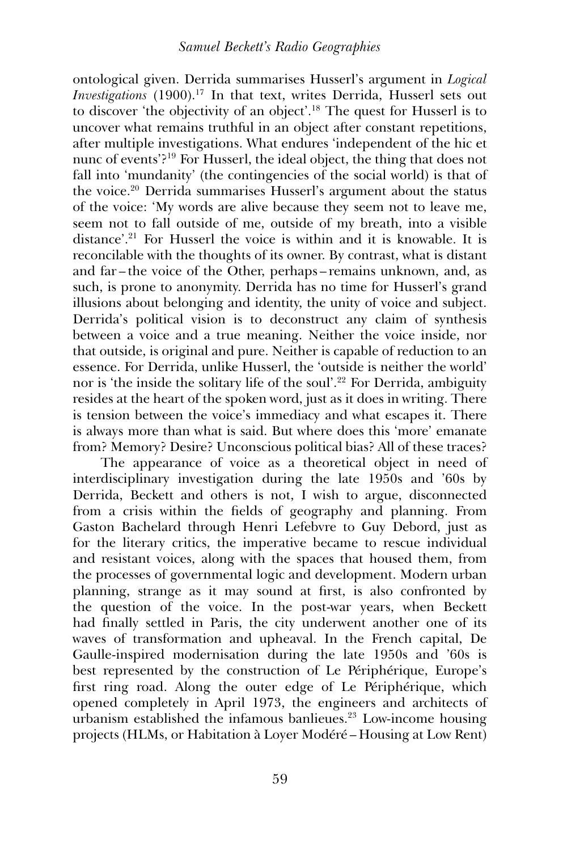ontological given. Derrida summarises Husserl's argument in *Logical Investigations* (1900).<sup>17</sup> In that text, writes Derrida, Husserl sets out to discover 'the objectivity of an object'.18 The quest for Husserl is to uncover what remains truthful in an object after constant repetitions, after multiple investigations. What endures 'independent of the hic et nunc of events'?19 For Husserl, the ideal object, the thing that does not fall into 'mundanity' (the contingencies of the social world) is that of the voice.20 Derrida summarises Husserl's argument about the status of the voice: 'My words are alive because they seem not to leave me, seem not to fall outside of me, outside of my breath, into a visible distance'.21 For Husserl the voice is within and it is knowable. It is reconcilable with the thoughts of its owner. By contrast, what is distant and far – the voice of the Other, perhaps – remains unknown, and, as such, is prone to anonymity. Derrida has no time for Husserl's grand illusions about belonging and identity, the unity of voice and subject. Derrida's political vision is to deconstruct any claim of synthesis between a voice and a true meaning. Neither the voice inside, nor that outside, is original and pure. Neither is capable of reduction to an essence. For Derrida, unlike Husserl, the 'outside is neither the world' nor is 'the inside the solitary life of the soul'.<sup>22</sup> For Derrida, ambiguity resides at the heart of the spoken word, just as it does in writing. There is tension between the voice's immediacy and what escapes it. There is always more than what is said. But where does this 'more' emanate from? Memory? Desire? Unconscious political bias? All of these traces?

The appearance of voice as a theoretical object in need of interdisciplinary investigation during the late 1950s and '60s by Derrida, Beckett and others is not, I wish to argue, disconnected from a crisis within the fields of geography and planning. From Gaston Bachelard through Henri Lefebvre to Guy Debord, just as for the literary critics, the imperative became to rescue individual and resistant voices, along with the spaces that housed them, from the processes of governmental logic and development. Modern urban planning, strange as it may sound at first, is also confronted by the question of the voice. In the post-war years, when Beckett had finally settled in Paris, the city underwent another one of its waves of transformation and upheaval. In the French capital, De Gaulle-inspired modernisation during the late 1950s and '60s is best represented by the construction of Le Périphérique, Europe's first ring road. Along the outer edge of Le Périphérique, which opened completely in April 1973, the engineers and architects of urbanism established the infamous banlieues.23 Low-income housing projects (HLMs, or Habitation à Loyer Modéré – Housing at Low Rent)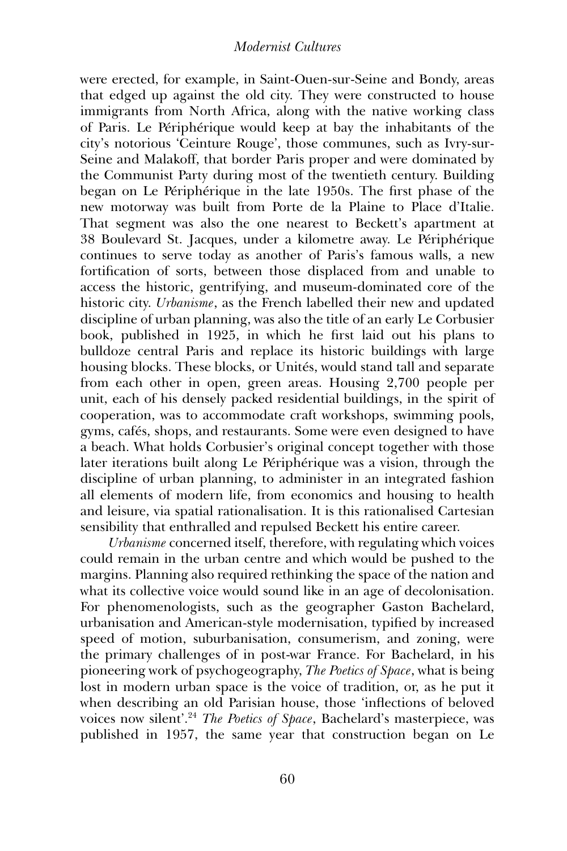were erected, for example, in Saint-Ouen-sur-Seine and Bondy, areas that edged up against the old city. They were constructed to house immigrants from North Africa, along with the native working class of Paris. Le Périphérique would keep at bay the inhabitants of the city's notorious 'Ceinture Rouge', those communes, such as Ivry-sur-Seine and Malakoff, that border Paris proper and were dominated by the Communist Party during most of the twentieth century. Building began on Le Périphérique in the late 1950s. The first phase of the new motorway was built from Porte de la Plaine to Place d'Italie. That segment was also the one nearest to Beckett's apartment at 38 Boulevard St. Jacques, under a kilometre away. Le Périphérique continues to serve today as another of Paris's famous walls, a new fortification of sorts, between those displaced from and unable to access the historic, gentrifying, and museum-dominated core of the historic city. *Urbanisme*, as the French labelled their new and updated discipline of urban planning, was also the title of an early Le Corbusier book, published in 1925, in which he first laid out his plans to bulldoze central Paris and replace its historic buildings with large housing blocks. These blocks, or Unités, would stand tall and separate from each other in open, green areas. Housing 2,700 people per unit, each of his densely packed residential buildings, in the spirit of cooperation, was to accommodate craft workshops, swimming pools, gyms, cafés, shops, and restaurants. Some were even designed to have a beach. What holds Corbusier's original concept together with those later iterations built along Le Périphérique was a vision, through the discipline of urban planning, to administer in an integrated fashion all elements of modern life, from economics and housing to health and leisure, via spatial rationalisation. It is this rationalised Cartesian sensibility that enthralled and repulsed Beckett his entire career.

*Urbanisme* concerned itself, therefore, with regulating which voices could remain in the urban centre and which would be pushed to the margins. Planning also required rethinking the space of the nation and what its collective voice would sound like in an age of decolonisation. For phenomenologists, such as the geographer Gaston Bachelard, urbanisation and American-style modernisation, typified by increased speed of motion, suburbanisation, consumerism, and zoning, were the primary challenges of in post-war France. For Bachelard, in his pioneering work of psychogeography, *The Poetics of Space*, what is being lost in modern urban space is the voice of tradition, or, as he put it when describing an old Parisian house, those 'inflections of beloved voices now silent'.<sup>24</sup> *The Poetics of Space*, Bachelard's masterpiece, was published in 1957, the same year that construction began on Le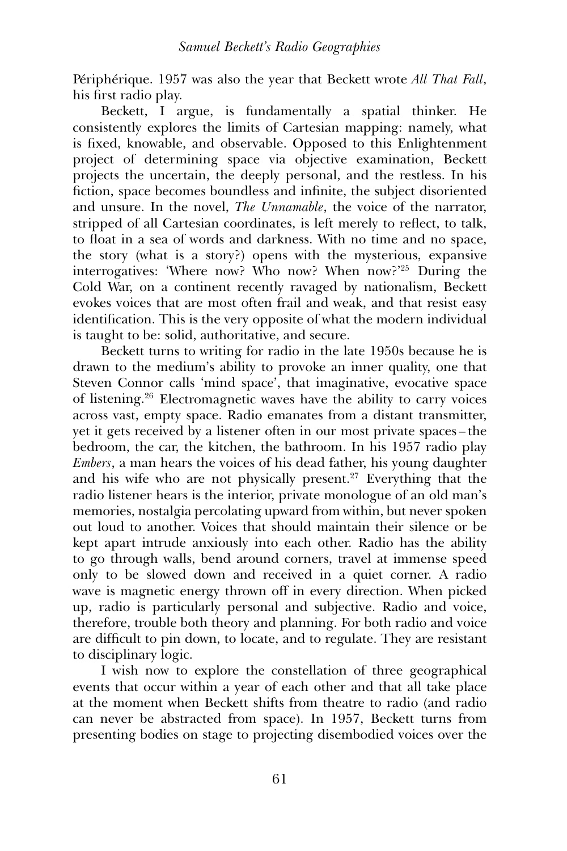Périphérique. 1957 was also the year that Beckett wrote *All That Fall*, his first radio play.

Beckett, I argue, is fundamentally a spatial thinker. He consistently explores the limits of Cartesian mapping: namely, what is fixed, knowable, and observable. Opposed to this Enlightenment project of determining space via objective examination, Beckett projects the uncertain, the deeply personal, and the restless. In his fiction, space becomes boundless and infinite, the subject disoriented and unsure. In the novel, *The Unnamable*, the voice of the narrator, stripped of all Cartesian coordinates, is left merely to reflect, to talk, to float in a sea of words and darkness. With no time and no space, the story (what is a story?) opens with the mysterious, expansive interrogatives: 'Where now? Who now? When now?'25 During the Cold War, on a continent recently ravaged by nationalism, Beckett evokes voices that are most often frail and weak, and that resist easy identification. This is the very opposite of what the modern individual is taught to be: solid, authoritative, and secure.

Beckett turns to writing for radio in the late 1950s because he is drawn to the medium's ability to provoke an inner quality, one that Steven Connor calls 'mind space', that imaginative, evocative space of listening.26 Electromagnetic waves have the ability to carry voices across vast, empty space. Radio emanates from a distant transmitter, yet it gets received by a listener often in our most private spaces – the bedroom, the car, the kitchen, the bathroom. In his 1957 radio play *Embers*, a man hears the voices of his dead father, his young daughter and his wife who are not physically present.<sup>27</sup> Everything that the radio listener hears is the interior, private monologue of an old man's memories, nostalgia percolating upward from within, but never spoken out loud to another. Voices that should maintain their silence or be kept apart intrude anxiously into each other. Radio has the ability to go through walls, bend around corners, travel at immense speed only to be slowed down and received in a quiet corner. A radio wave is magnetic energy thrown off in every direction. When picked up, radio is particularly personal and subjective. Radio and voice, therefore, trouble both theory and planning. For both radio and voice are difficult to pin down, to locate, and to regulate. They are resistant to disciplinary logic.

I wish now to explore the constellation of three geographical events that occur within a year of each other and that all take place at the moment when Beckett shifts from theatre to radio (and radio can never be abstracted from space). In 1957, Beckett turns from presenting bodies on stage to projecting disembodied voices over the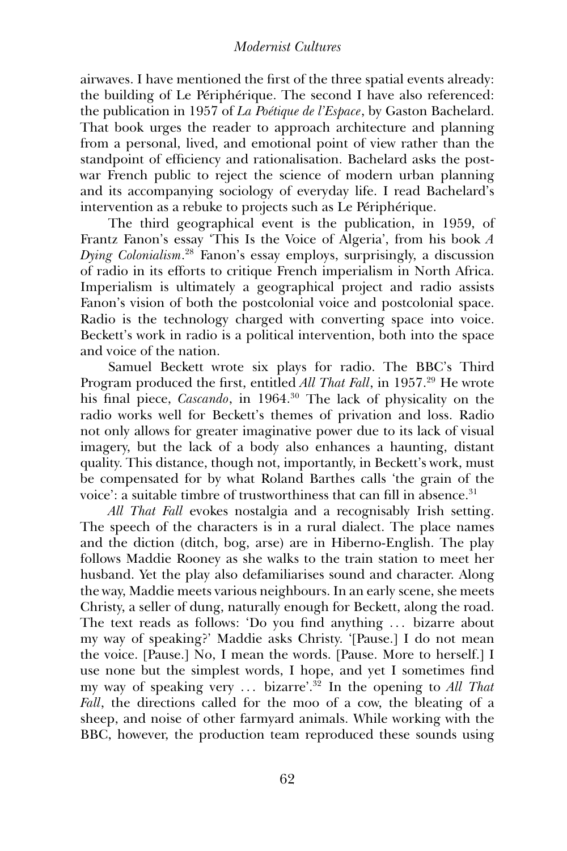airwaves. I have mentioned the first of the three spatial events already: the building of Le Périphérique. The second I have also referenced: the publication in 1957 of *La Poétique de l'Espace*, by Gaston Bachelard. That book urges the reader to approach architecture and planning from a personal, lived, and emotional point of view rather than the standpoint of efficiency and rationalisation. Bachelard asks the postwar French public to reject the science of modern urban planning and its accompanying sociology of everyday life. I read Bachelard's intervention as a rebuke to projects such as Le Périphérique.

The third geographical event is the publication, in 1959, of Frantz Fanon's essay 'This Is the Voice of Algeria', from his book *A Dying Colonialism*. <sup>28</sup> Fanon's essay employs, surprisingly, a discussion of radio in its efforts to critique French imperialism in North Africa. Imperialism is ultimately a geographical project and radio assists Fanon's vision of both the postcolonial voice and postcolonial space. Radio is the technology charged with converting space into voice. Beckett's work in radio is a political intervention, both into the space and voice of the nation.

Samuel Beckett wrote six plays for radio. The BBC's Third Program produced the first, entitled *All That Fall*, in 1957.<sup>29</sup> He wrote his final piece, *Cascando*, in 1964.30 The lack of physicality on the radio works well for Beckett's themes of privation and loss. Radio not only allows for greater imaginative power due to its lack of visual imagery, but the lack of a body also enhances a haunting, distant quality. This distance, though not, importantly, in Beckett's work, must be compensated for by what Roland Barthes calls 'the grain of the voice': a suitable timbre of trustworthiness that can fill in absence.<sup>31</sup>

*All That Fall* evokes nostalgia and a recognisably Irish setting. The speech of the characters is in a rural dialect. The place names and the diction (ditch, bog, arse) are in Hiberno-English. The play follows Maddie Rooney as she walks to the train station to meet her husband. Yet the play also defamiliarises sound and character. Along the way, Maddie meets various neighbours. In an early scene, she meets Christy, a seller of dung, naturally enough for Beckett, along the road. The text reads as follows: 'Do you find anything ... bizarre about my way of speaking?' Maddie asks Christy. '[Pause.] I do not mean the voice. [Pause.] No, I mean the words. [Pause. More to herself.] I use none but the simplest words, I hope, and yet I sometimes find my way of speaking very . . . bizarre'.32 In the opening to *All That Fall*, the directions called for the moo of a cow, the bleating of a sheep, and noise of other farmyard animals. While working with the BBC, however, the production team reproduced these sounds using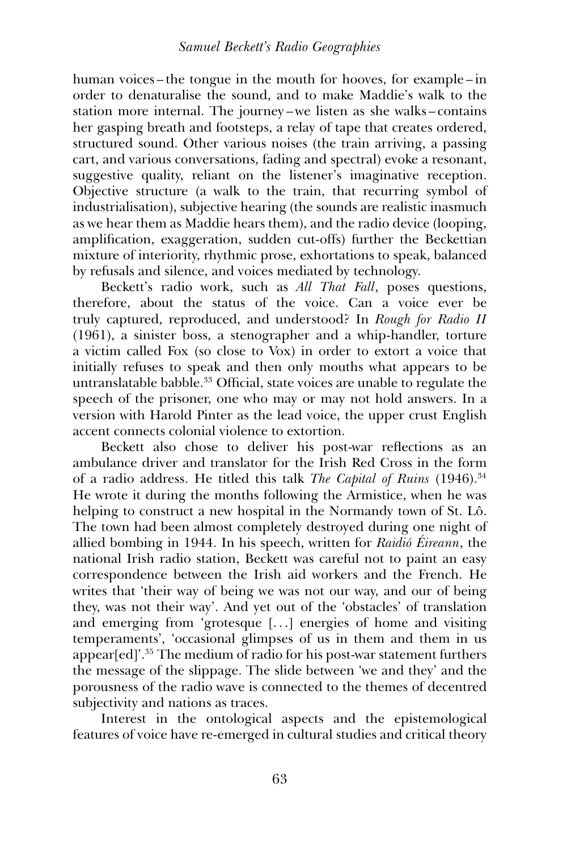human voices – the tongue in the mouth for hooves, for example – in order to denaturalise the sound, and to make Maddie's walk to the station more internal. The journey – we listen as she walks – contains her gasping breath and footsteps, a relay of tape that creates ordered, structured sound. Other various noises (the train arriving, a passing cart, and various conversations, fading and spectral) evoke a resonant, suggestive quality, reliant on the listener's imaginative reception. Objective structure (a walk to the train, that recurring symbol of industrialisation), subjective hearing (the sounds are realistic inasmuch as we hear them as Maddie hears them), and the radio device (looping, amplification, exaggeration, sudden cut-offs) further the Beckettian mixture of interiority, rhythmic prose, exhortations to speak, balanced by refusals and silence, and voices mediated by technology.

Beckett's radio work, such as *All That Fall*, poses questions, therefore, about the status of the voice. Can a voice ever be truly captured, reproduced, and understood? In *Rough for Radio II* (1961), a sinister boss, a stenographer and a whip-handler, torture a victim called Fox (so close to Vox) in order to extort a voice that initially refuses to speak and then only mouths what appears to be untranslatable babble.<sup>33</sup> Official, state voices are unable to regulate the speech of the prisoner, one who may or may not hold answers. In a version with Harold Pinter as the lead voice, the upper crust English accent connects colonial violence to extortion.

Beckett also chose to deliver his post-war reflections as an ambulance driver and translator for the Irish Red Cross in the form of a radio address. He titled this talk *The Capital of Ruins* (1946).<sup>34</sup> He wrote it during the months following the Armistice, when he was helping to construct a new hospital in the Normandy town of St. Lô. The town had been almost completely destroyed during one night of allied bombing in 1944. In his speech, written for *Raidió Éireann*, the national Irish radio station, Beckett was careful not to paint an easy correspondence between the Irish aid workers and the French. He writes that 'their way of being we was not our way, and our of being they, was not their way'. And yet out of the 'obstacles' of translation and emerging from 'grotesque [. . .] energies of home and visiting temperaments', 'occasional glimpses of us in them and them in us appear[ed]'.35 The medium of radio for his post-war statement furthers the message of the slippage. The slide between 'we and they' and the porousness of the radio wave is connected to the themes of decentred subjectivity and nations as traces.

Interest in the ontological aspects and the epistemological features of voice have re-emerged in cultural studies and critical theory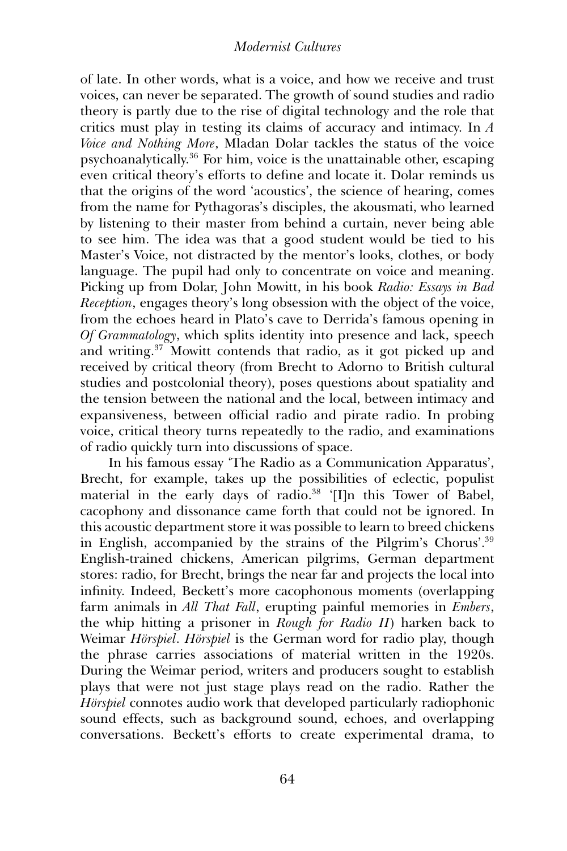of late. In other words, what is a voice, and how we receive and trust voices, can never be separated. The growth of sound studies and radio theory is partly due to the rise of digital technology and the role that critics must play in testing its claims of accuracy and intimacy. In *A Voice and Nothing More*, Mladan Dolar tackles the status of the voice psychoanalytically.36 For him, voice is the unattainable other, escaping even critical theory's efforts to define and locate it. Dolar reminds us that the origins of the word 'acoustics', the science of hearing, comes from the name for Pythagoras's disciples, the akousmati, who learned by listening to their master from behind a curtain, never being able to see him. The idea was that a good student would be tied to his Master's Voice, not distracted by the mentor's looks, clothes, or body language. The pupil had only to concentrate on voice and meaning. Picking up from Dolar, John Mowitt, in his book *Radio: Essays in Bad Reception*, engages theory's long obsession with the object of the voice, from the echoes heard in Plato's cave to Derrida's famous opening in *Of Grammatology*, which splits identity into presence and lack, speech and writing.37 Mowitt contends that radio, as it got picked up and received by critical theory (from Brecht to Adorno to British cultural studies and postcolonial theory), poses questions about spatiality and the tension between the national and the local, between intimacy and expansiveness, between official radio and pirate radio. In probing voice, critical theory turns repeatedly to the radio, and examinations of radio quickly turn into discussions of space.

In his famous essay 'The Radio as a Communication Apparatus', Brecht, for example, takes up the possibilities of eclectic, populist material in the early days of radio.38 '[I]n this Tower of Babel, cacophony and dissonance came forth that could not be ignored. In this acoustic department store it was possible to learn to breed chickens in English, accompanied by the strains of the Pilgrim's Chorus'.39 English-trained chickens, American pilgrims, German department stores: radio, for Brecht, brings the near far and projects the local into infinity. Indeed, Beckett's more cacophonous moments (overlapping farm animals in *All That Fall*, erupting painful memories in *Embers*, the whip hitting a prisoner in *Rough for Radio II*) harken back to Weimar *Hörspiel*. *Hörspiel* is the German word for radio play, though the phrase carries associations of material written in the 1920s. During the Weimar period, writers and producers sought to establish plays that were not just stage plays read on the radio. Rather the *Hörspiel* connotes audio work that developed particularly radiophonic sound effects, such as background sound, echoes, and overlapping conversations. Beckett's efforts to create experimental drama, to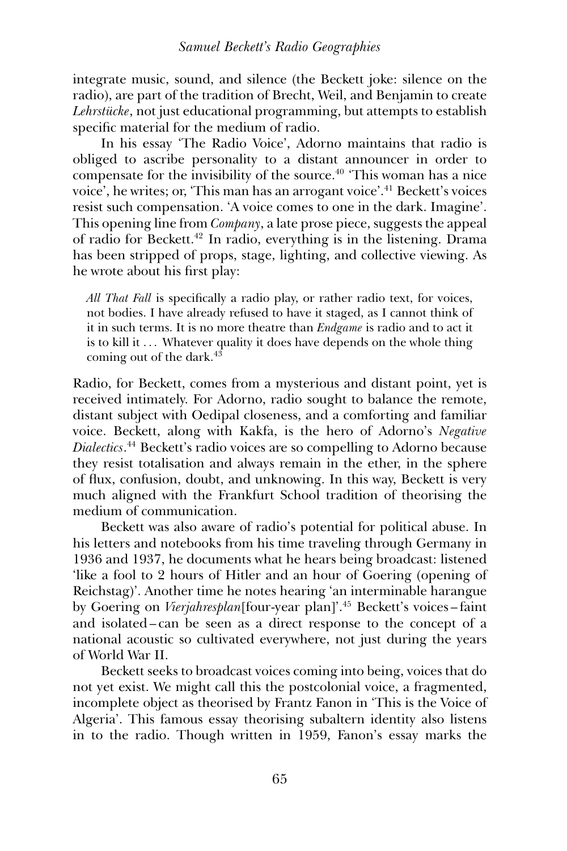integrate music, sound, and silence (the Beckett joke: silence on the radio), are part of the tradition of Brecht, Weil, and Benjamin to create *Lehrstücke*, not just educational programming, but attempts to establish specific material for the medium of radio.

In his essay 'The Radio Voice', Adorno maintains that radio is obliged to ascribe personality to a distant announcer in order to compensate for the invisibility of the source.<sup>40</sup> 'This woman has a nice voice', he writes; or, 'This man has an arrogant voice'.41 Beckett's voices resist such compensation. 'A voice comes to one in the dark. Imagine'. This opening line from *Company*, a late prose piece, suggests the appeal of radio for Beckett.42 In radio, everything is in the listening. Drama has been stripped of props, stage, lighting, and collective viewing. As he wrote about his first play:

*All That Fall* is specifically a radio play, or rather radio text, for voices, not bodies. I have already refused to have it staged, as I cannot think of it in such terms. It is no more theatre than *Endgame* is radio and to act it is to kill it ... Whatever quality it does have depends on the whole thing coming out of the dark.<sup>43</sup>

Radio, for Beckett, comes from a mysterious and distant point, yet is received intimately. For Adorno, radio sought to balance the remote, distant subject with Oedipal closeness, and a comforting and familiar voice. Beckett, along with Kakfa, is the hero of Adorno's *Negative Dialectics*. <sup>44</sup> Beckett's radio voices are so compelling to Adorno because they resist totalisation and always remain in the ether, in the sphere of flux, confusion, doubt, and unknowing. In this way, Beckett is very much aligned with the Frankfurt School tradition of theorising the medium of communication.

Beckett was also aware of radio's potential for political abuse. In his letters and notebooks from his time traveling through Germany in 1936 and 1937, he documents what he hears being broadcast: listened 'like a fool to 2 hours of Hitler and an hour of Goering (opening of Reichstag)'. Another time he notes hearing 'an interminable harangue by Goering on *Vierjahresplan*[four-year plan]'.45 Beckett's voices – faint and isolated – can be seen as a direct response to the concept of a national acoustic so cultivated everywhere, not just during the years of World War II.

Beckett seeks to broadcast voices coming into being, voices that do not yet exist. We might call this the postcolonial voice, a fragmented, incomplete object as theorised by Frantz Fanon in 'This is the Voice of Algeria'. This famous essay theorising subaltern identity also listens in to the radio. Though written in 1959, Fanon's essay marks the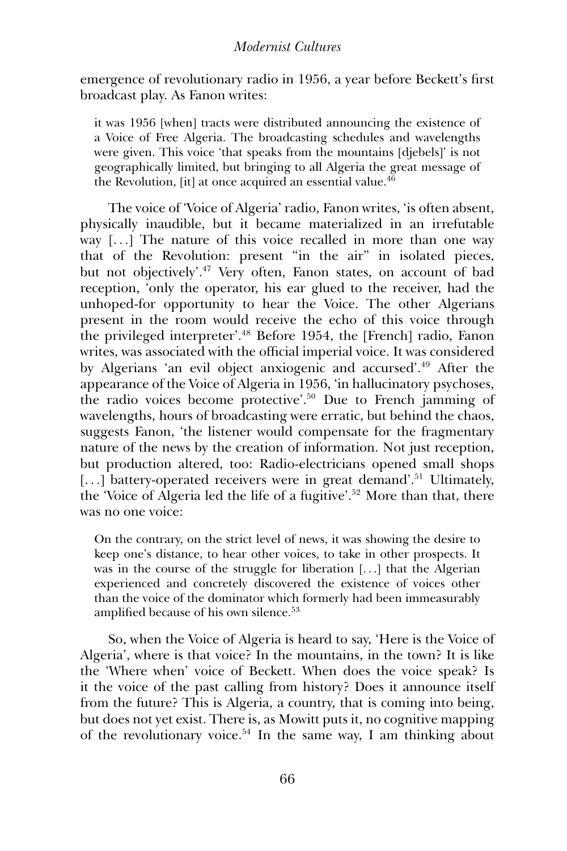emergence of revolutionary radio in 1956, a year before Beckett's first broadcast play. As Fanon writes:

it was 1956 [when] tracts were distributed announcing the existence of a Voice of Free Algeria. The broadcasting schedules and wavelengths were given. This voice 'that speaks from the mountains [djebels]' is not geographically limited, but bringing to all Algeria the great message of the Revolution, [it] at once acquired an essential value.<sup>46</sup>

The voice of 'Voice of Algeria' radio, Fanon writes, 'is often absent, physically inaudible, but it became materialized in an irrefutable way  $[\dots]$  The nature of this voice recalled in more than one way that of the Revolution: present "in the air'' in isolated pieces, but not objectively'.47 Very often, Fanon states, on account of bad reception, 'only the operator, his ear glued to the receiver, had the unhoped-for opportunity to hear the Voice. The other Algerians present in the room would receive the echo of this voice through the privileged interpreter'.48 Before 1954, the [French] radio, Fanon writes, was associated with the official imperial voice. It was considered by Algerians 'an evil object anxiogenic and accursed'.49 After the appearance of the Voice of Algeria in 1956, 'in hallucinatory psychoses, the radio voices become protective'.50 Due to French jamming of wavelengths, hours of broadcasting were erratic, but behind the chaos, suggests Fanon, 'the listener would compensate for the fragmentary nature of the news by the creation of information. Not just reception, but production altered, too: Radio-electricians opened small shops [...] battery-operated receivers were in great demand'.<sup>51</sup> Ultimately, the 'Voice of Algeria led the life of a fugitive'.52 More than that, there was no one voice:

On the contrary, on the strict level of news, it was showing the desire to keep one's distance, to hear other voices, to take in other prospects. It was in the course of the struggle for liberation [...] that the Algerian experienced and concretely discovered the existence of voices other than the voice of the dominator which formerly had been immeasurably amplified because of his own silence.<sup>53</sup>

So, when the Voice of Algeria is heard to say, 'Here is the Voice of Algeria', where is that voice? In the mountains, in the town? It is like the 'Where when' voice of Beckett. When does the voice speak? Is it the voice of the past calling from history? Does it announce itself from the future? This is Algeria, a country, that is coming into being, but does not yet exist. There is, as Mowitt puts it, no cognitive mapping of the revolutionary voice.54 In the same way, I am thinking about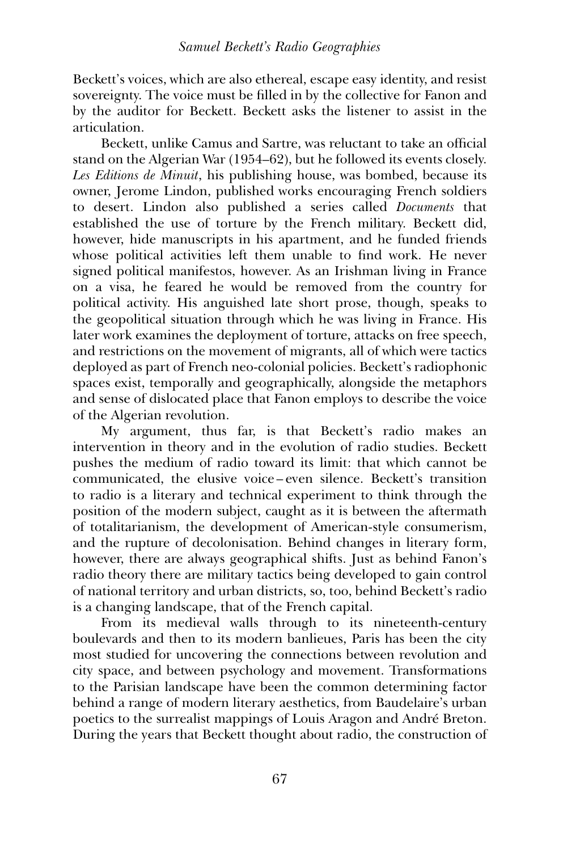Beckett's voices, which are also ethereal, escape easy identity, and resist sovereignty. The voice must be filled in by the collective for Fanon and by the auditor for Beckett. Beckett asks the listener to assist in the articulation.

Beckett, unlike Camus and Sartre, was reluctant to take an official stand on the Algerian War (1954–62), but he followed its events closely. *Les Editions de Minuit*, his publishing house, was bombed, because its owner, Jerome Lindon, published works encouraging French soldiers to desert. Lindon also published a series called *Documents* that established the use of torture by the French military. Beckett did, however, hide manuscripts in his apartment, and he funded friends whose political activities left them unable to find work. He never signed political manifestos, however. As an Irishman living in France on a visa, he feared he would be removed from the country for political activity. His anguished late short prose, though, speaks to the geopolitical situation through which he was living in France. His later work examines the deployment of torture, attacks on free speech, and restrictions on the movement of migrants, all of which were tactics deployed as part of French neo-colonial policies. Beckett's radiophonic spaces exist, temporally and geographically, alongside the metaphors and sense of dislocated place that Fanon employs to describe the voice of the Algerian revolution.

My argument, thus far, is that Beckett's radio makes an intervention in theory and in the evolution of radio studies. Beckett pushes the medium of radio toward its limit: that which cannot be communicated, the elusive voice – even silence. Beckett's transition to radio is a literary and technical experiment to think through the position of the modern subject, caught as it is between the aftermath of totalitarianism, the development of American-style consumerism, and the rupture of decolonisation. Behind changes in literary form, however, there are always geographical shifts. Just as behind Fanon's radio theory there are military tactics being developed to gain control of national territory and urban districts, so, too, behind Beckett's radio is a changing landscape, that of the French capital.

From its medieval walls through to its nineteenth-century boulevards and then to its modern banlieues, Paris has been the city most studied for uncovering the connections between revolution and city space, and between psychology and movement. Transformations to the Parisian landscape have been the common determining factor behind a range of modern literary aesthetics, from Baudelaire's urban poetics to the surrealist mappings of Louis Aragon and André Breton. During the years that Beckett thought about radio, the construction of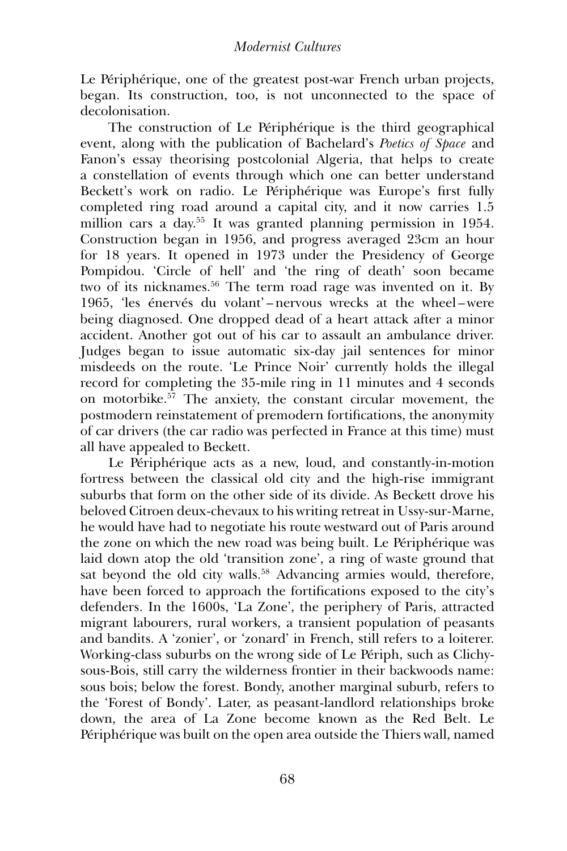Le Périphérique, one of the greatest post-war French urban projects, began. Its construction, too, is not unconnected to the space of decolonisation.

The construction of Le Périphérique is the third geographical event, along with the publication of Bachelard's *Poetics of Space* and Fanon's essay theorising postcolonial Algeria, that helps to create a constellation of events through which one can better understand Beckett's work on radio. Le Périphérique was Europe's first fully completed ring road around a capital city, and it now carries 1.5 million cars a day.55 It was granted planning permission in 1954. Construction began in 1956, and progress averaged 23cm an hour for 18 years. It opened in 1973 under the Presidency of George Pompidou. 'Circle of hell' and 'the ring of death' soon became two of its nicknames.<sup>56</sup> The term road rage was invented on it. By 1965, 'les énervés du volant'-nervous wrecks at the wheel-were being diagnosed. One dropped dead of a heart attack after a minor accident. Another got out of his car to assault an ambulance driver. Judges began to issue automatic six-day jail sentences for minor misdeeds on the route. 'Le Prince Noir' currently holds the illegal record for completing the 35-mile ring in 11 minutes and 4 seconds on motorbike.57 The anxiety, the constant circular movement, the postmodern reinstatement of premodern fortifications, the anonymity of car drivers (the car radio was perfected in France at this time) must all have appealed to Beckett.

Le Périphérique acts as a new, loud, and constantly-in-motion fortress between the classical old city and the high-rise immigrant suburbs that form on the other side of its divide. As Beckett drove his beloved Citroen deux-chevaux to his writing retreat in Ussy-sur-Marne, he would have had to negotiate his route westward out of Paris around the zone on which the new road was being built. Le Périphérique was laid down atop the old 'transition zone', a ring of waste ground that sat beyond the old city walls.<sup>58</sup> Advancing armies would, therefore, have been forced to approach the fortifications exposed to the city's defenders. In the 1600s, 'La Zone', the periphery of Paris, attracted migrant labourers, rural workers, a transient population of peasants and bandits. A 'zonier', or 'zonard' in French, still refers to a loiterer. Working-class suburbs on the wrong side of Le Périph, such as Clichysous-Bois, still carry the wilderness frontier in their backwoods name: sous bois; below the forest. Bondy, another marginal suburb, refers to the 'Forest of Bondy'. Later, as peasant-landlord relationships broke down, the area of La Zone become known as the Red Belt. Le Périphérique was built on the open area outside the Thiers wall, named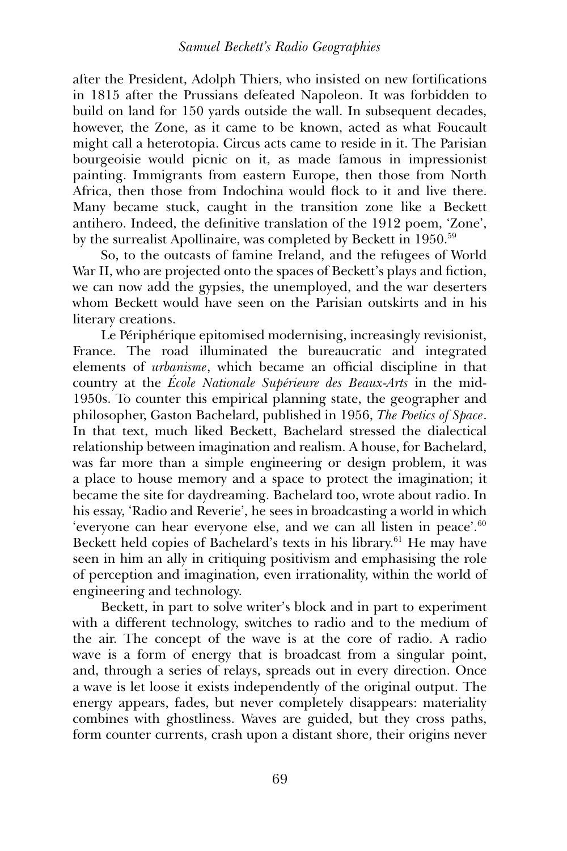after the President, Adolph Thiers, who insisted on new fortifications in 1815 after the Prussians defeated Napoleon. It was forbidden to build on land for 150 yards outside the wall. In subsequent decades, however, the Zone, as it came to be known, acted as what Foucault might call a heterotopia. Circus acts came to reside in it. The Parisian bourgeoisie would picnic on it, as made famous in impressionist painting. Immigrants from eastern Europe, then those from North Africa, then those from Indochina would flock to it and live there. Many became stuck, caught in the transition zone like a Beckett antihero. Indeed, the definitive translation of the 1912 poem, 'Zone', by the surrealist Apollinaire, was completed by Beckett in 1950.59

So, to the outcasts of famine Ireland, and the refugees of World War II, who are projected onto the spaces of Beckett's plays and fiction, we can now add the gypsies, the unemployed, and the war deserters whom Beckett would have seen on the Parisian outskirts and in his literary creations.

Le Périphérique epitomised modernising, increasingly revisionist, France. The road illuminated the bureaucratic and integrated elements of *urbanisme*, which became an official discipline in that country at the *École Nationale Supérieure des Beaux-Arts* in the mid-1950s. To counter this empirical planning state, the geographer and philosopher, Gaston Bachelard, published in 1956, *The Poetics of Space*. In that text, much liked Beckett, Bachelard stressed the dialectical relationship between imagination and realism. A house, for Bachelard, was far more than a simple engineering or design problem, it was a place to house memory and a space to protect the imagination; it became the site for daydreaming. Bachelard too, wrote about radio. In his essay, 'Radio and Reverie', he sees in broadcasting a world in which 'everyone can hear everyone else, and we can all listen in peace'.<sup>60</sup> Beckett held copies of Bachelard's texts in his library. $61$  He may have seen in him an ally in critiquing positivism and emphasising the role of perception and imagination, even irrationality, within the world of engineering and technology.

Beckett, in part to solve writer's block and in part to experiment with a different technology, switches to radio and to the medium of the air. The concept of the wave is at the core of radio. A radio wave is a form of energy that is broadcast from a singular point, and, through a series of relays, spreads out in every direction. Once a wave is let loose it exists independently of the original output. The energy appears, fades, but never completely disappears: materiality combines with ghostliness. Waves are guided, but they cross paths, form counter currents, crash upon a distant shore, their origins never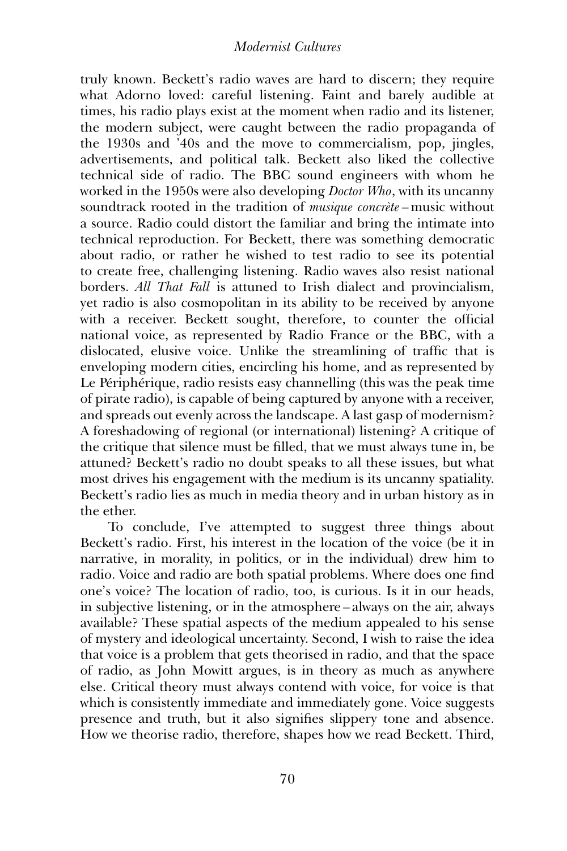truly known. Beckett's radio waves are hard to discern; they require what Adorno loved: careful listening. Faint and barely audible at times, his radio plays exist at the moment when radio and its listener, the modern subject, were caught between the radio propaganda of the 1930s and '40s and the move to commercialism, pop, jingles, advertisements, and political talk. Beckett also liked the collective technical side of radio. The BBC sound engineers with whom he worked in the 1950s were also developing *Doctor Who*, with its uncanny soundtrack rooted in the tradition of *musique concrète* – music without a source. Radio could distort the familiar and bring the intimate into technical reproduction. For Beckett, there was something democratic about radio, or rather he wished to test radio to see its potential to create free, challenging listening. Radio waves also resist national borders. *All That Fall* is attuned to Irish dialect and provincialism, yet radio is also cosmopolitan in its ability to be received by anyone with a receiver. Beckett sought, therefore, to counter the official national voice, as represented by Radio France or the BBC, with a dislocated, elusive voice. Unlike the streamlining of traffic that is enveloping modern cities, encircling his home, and as represented by Le Périphérique, radio resists easy channelling (this was the peak time of pirate radio), is capable of being captured by anyone with a receiver, and spreads out evenly across the landscape. A last gasp of modernism? A foreshadowing of regional (or international) listening? A critique of the critique that silence must be filled, that we must always tune in, be attuned? Beckett's radio no doubt speaks to all these issues, but what most drives his engagement with the medium is its uncanny spatiality. Beckett's radio lies as much in media theory and in urban history as in the ether.

To conclude, I've attempted to suggest three things about Beckett's radio. First, his interest in the location of the voice (be it in narrative, in morality, in politics, or in the individual) drew him to radio. Voice and radio are both spatial problems. Where does one find one's voice? The location of radio, too, is curious. Is it in our heads, in subjective listening, or in the atmosphere – always on the air, always available? These spatial aspects of the medium appealed to his sense of mystery and ideological uncertainty. Second, I wish to raise the idea that voice is a problem that gets theorised in radio, and that the space of radio, as John Mowitt argues, is in theory as much as anywhere else. Critical theory must always contend with voice, for voice is that which is consistently immediate and immediately gone. Voice suggests presence and truth, but it also signifies slippery tone and absence. How we theorise radio, therefore, shapes how we read Beckett. Third,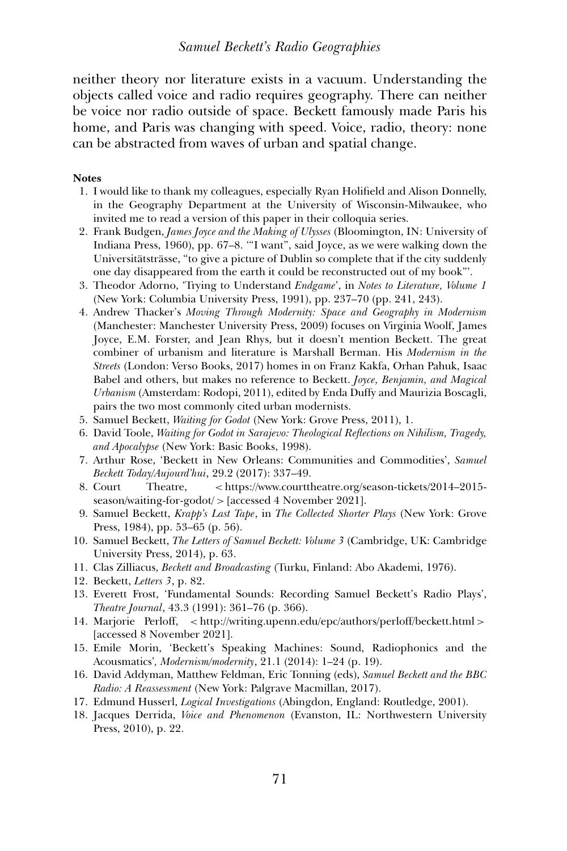neither theory nor literature exists in a vacuum. Understanding the objects called voice and radio requires geography. There can neither be voice nor radio outside of space. Beckett famously made Paris his home, and Paris was changing with speed. Voice, radio, theory: none can be abstracted from waves of urban and spatial change.

#### **Notes**

- 1. I would like to thank my colleagues, especially Ryan Holifield and Alison Donnelly, in the Geography Department at the University of Wisconsin-Milwaukee, who invited me to read a version of this paper in their colloquia series.
- 2. Frank Budgen, *James Joyce and the Making of Ulysses* (Bloomington, IN: University of Indiana Press, 1960), pp. 67–8. '"I want'', said Joyce, as we were walking down the Universitätsträsse, "to give a picture of Dublin so complete that if the city suddenly one day disappeared from the earth it could be reconstructed out of my book'''.
- 3. Theodor Adorno, 'Trying to Understand *Endgame*', in *Notes to Literature, Volume 1* (New York: Columbia University Press, 1991), pp. 237–70 (pp. 241, 243).
- 4. Andrew Thacker's *Moving Through Modernity: Space and Geography in Modernism* (Manchester: Manchester University Press, 2009) focuses on Virginia Woolf, James Joyce, E.M. Forster, and Jean Rhys, but it doesn't mention Beckett. The great combiner of urbanism and literature is Marshall Berman. His *Modernism in the Streets* (London: Verso Books, 2017) homes in on Franz Kakfa, Orhan Pahuk, Isaac Babel and others, but makes no reference to Beckett. *Joyce, Benjamin, and Magical Urbanism* (Amsterdam: Rodopi, 2011), edited by Enda Duffy and Maurizia Boscagli, pairs the two most commonly cited urban modernists.
- 5. Samuel Beckett, *Waiting for Godot* (New York: Grove Press, 2011), 1.
- 6. David Toole, *Waiting for Godot in Sarajevo: Theological Reflections on Nihilism, Tragedy, and Apocalypse* (New York: Basic Books, 1998).
- 7. Arthur Rose, 'Beckett in New Orleans: Communities and Commodities', *Samuel Beckett Today/Aujourd'hui*, 29.2 (2017): 337–49.
- 8. Court Theatre, < https://www.courttheatre.org/season-tickets/2014–2015 season/waiting-for-godot/ > [accessed 4 November 2021].
- 9. Samuel Beckett, *Krapp's Last Tape*, in *The Collected Shorter Plays* (New York: Grove Press, 1984), pp. 53–65 (p. 56).
- 10. Samuel Beckett, *The Letters of Samuel Beckett: Volume 3* (Cambridge, UK: Cambridge University Press, 2014), p. 63.
- 11. Clas Zilliacus, *Beckett and Broadcasting* (Turku, Finland: Abo Akademi, 1976).
- 12. Beckett, *Letters 3*, p. 82.
- 13. Everett Frost, 'Fundamental Sounds: Recording Samuel Beckett's Radio Plays', *Theatre Journal*, 43.3 (1991): 361–76 (p. 366).
- 14. Marjorie Perloff, < http://writing.upenn.edu/epc/authors/perloff/beckett.html > [accessed 8 November 2021].
- 15. Emile Morin, 'Beckett's Speaking Machines: Sound, Radiophonics and the Acousmatics'*, Modernism/modernity*, 21.1 (2014): 1–24 (p. 19).
- 16. David Addyman, Matthew Feldman, Eric Tonning (eds), *Samuel Beckett and the BBC Radio: A Reassessment* (New York: Palgrave Macmillan, 2017).
- 17. Edmund Husserl, *Logical Investigations* (Abingdon, England: Routledge, 2001).
- 18. Jacques Derrida, *Voice and Phenomenon* (Evanston, IL: Northwestern University Press, 2010), p. 22.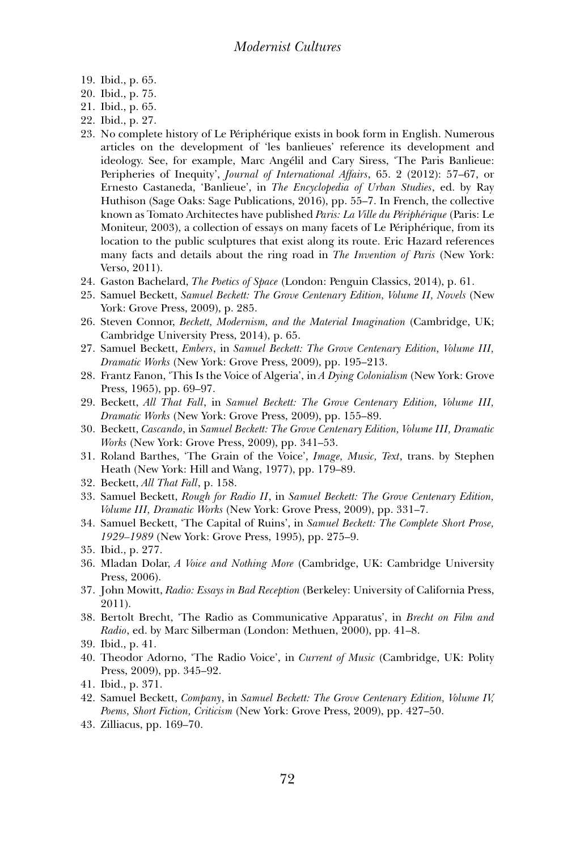- 19. Ibid., p. 65.
- 20. Ibid., p. 75.
- 21. Ibid., p. 65.
- 22. Ibid., p. 27.
- 23. No complete history of Le Périphérique exists in book form in English. Numerous articles on the development of 'les banlieues' reference its development and ideology. See, for example, Marc Angélil and Cary Siress, 'The Paris Banlieue: Peripheries of Inequity', *Journal of International Affairs*, 65. 2 (2012): 57–67, or Ernesto Castaneda, 'Banlieue', in *The Encyclopedia of Urban Studies*, ed. by Ray Huthison (Sage Oaks: Sage Publications, 2016), pp. 55–7. In French, the collective known as Tomato Architectes have published *Paris: La Ville du Périphérique* (Paris: Le Moniteur, 2003), a collection of essays on many facets of Le Périphérique, from its location to the public sculptures that exist along its route. Eric Hazard references many facts and details about the ring road in *The Invention of Paris* (New York: Verso, 2011).
- 24. Gaston Bachelard, *The Poetics of Space* (London: Penguin Classics, 2014), p. 61.
- 25. Samuel Beckett, *Samuel Beckett: The Grove Centenary Edition, Volume II, Novels* (New York: Grove Press, 2009), p. 285.
- 26. Steven Connor, *Beckett, Modernism, and the Material Imagination* (Cambridge, UK; Cambridge University Press, 2014), p. 65.
- 27. Samuel Beckett, *Embers*, in *Samuel Beckett: The Grove Centenary Edition, Volume III, Dramatic Works* (New York: Grove Press, 2009), pp. 195–213.
- 28. Frantz Fanon, 'This Is the Voice of Algeria', in *A Dying Colonialism* (New York: Grove Press, 1965), pp. 69–97.
- 29. Beckett, *All That Fall*, in *Samuel Beckett: The Grove Centenary Edition, Volume III, Dramatic Works* (New York: Grove Press, 2009), pp. 155–89.
- 30. Beckett, *Cascando*, in *Samuel Beckett: The Grove Centenary Edition, Volume III, Dramatic Works* (New York: Grove Press, 2009), pp. 341–53.
- 31. Roland Barthes, 'The Grain of the Voice', *Image, Music, Text*, trans. by Stephen Heath (New York: Hill and Wang, 1977), pp. 179–89.
- 32. Beckett, *All That Fall*, p. 158.
- 33. Samuel Beckett, *Rough for Radio II*, in *Samuel Beckett: The Grove Centenary Edition, Volume III, Dramatic Works* (New York: Grove Press, 2009), pp. 331–7.
- 34. Samuel Beckett, 'The Capital of Ruins', in *Samuel Beckett: The Complete Short Prose, 1929–1989* (New York: Grove Press, 1995), pp. 275–9.
- 35. Ibid., p. 277.
- 36. Mladan Dolar, *A Voice and Nothing More* (Cambridge, UK: Cambridge University Press, 2006).
- 37. John Mowitt, *Radio: Essays in Bad Reception* (Berkeley: University of California Press, 2011).
- 38. Bertolt Brecht, 'The Radio as Communicative Apparatus', in *Brecht on Film and Radio*, ed. by Marc Silberman (London: Methuen, 2000), pp. 41–8.
- 39. Ibid., p. 41.
- 40. Theodor Adorno, 'The Radio Voice', in *Current of Music* (Cambridge, UK: Polity Press, 2009), pp. 345–92.
- 41. Ibid., p. 371.
- 42. Samuel Beckett, *Company*, in *Samuel Beckett: The Grove Centenary Edition, Volume IV, Poems, Short Fiction, Criticism* (New York: Grove Press, 2009), pp. 427–50.
- 43. Zilliacus, pp. 169–70.